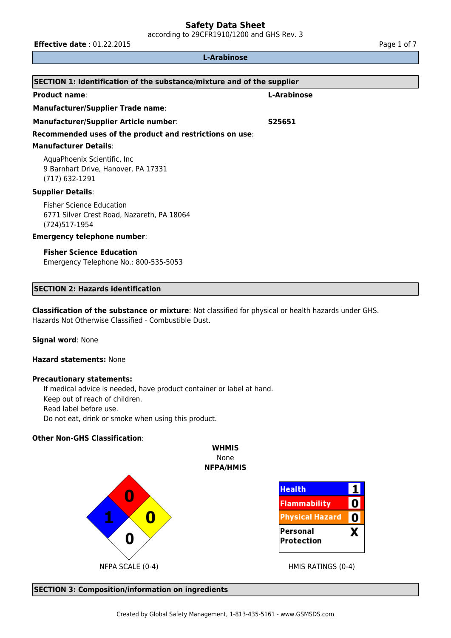according to 29CFR1910/1200 and GHS Rev. 3

**Effective date** : 01.22.2015 **Page 1 of 7 Page 1 of 7** 

## **L-Arabinose**

| <b>SECTION 1: Identification of the substance/mixture and of the supplier</b>                   |                    |  |  |  |
|-------------------------------------------------------------------------------------------------|--------------------|--|--|--|
| <b>Product name:</b>                                                                            | L-Arabinose        |  |  |  |
| <b>Manufacturer/Supplier Trade name:</b>                                                        |                    |  |  |  |
| <b>Manufacturer/Supplier Article number:</b>                                                    | S <sub>25651</sub> |  |  |  |
| Recommended uses of the product and restrictions on use:                                        |                    |  |  |  |
| <b>Manufacturer Details:</b>                                                                    |                    |  |  |  |
| AquaPhoenix Scientific, Inc.<br>9 Barnhart Drive, Hanover, PA 17331<br>$(717)$ 632-1291         |                    |  |  |  |
| <b>Supplier Details:</b>                                                                        |                    |  |  |  |
| <b>Fisher Science Education</b><br>6771 Silver Crest Road, Nazareth, PA 18064<br>(724) 517-1954 |                    |  |  |  |
| <b>Emergency telephone number:</b>                                                              |                    |  |  |  |
| <b>Fisher Science Education</b><br>Emergency Telephone No.: 800-535-5053                        |                    |  |  |  |

## **SECTION 2: Hazards identification**

**Classification of the substance or mixture**: Not classified for physical or health hazards under GHS. Hazards Not Otherwise Classified - Combustible Dust.

#### **Signal word**: None

#### **Hazard statements:** None

## **Precautionary statements:**

If medical advice is needed, have product container or label at hand. Keep out of reach of children. Read label before use. Do not eat, drink or smoke when using this product.

## **Other Non-GHS Classification**:



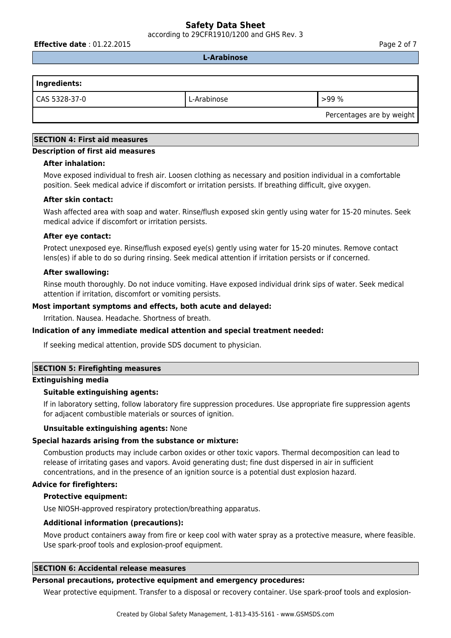according to 29CFR1910/1200 and GHS Rev. 3

**Effective date** : 01.22.2015 **Page 2 of 7 Page 2 of 7** 

**L-Arabinose**

| Ingredients:  |             |                           |
|---------------|-------------|---------------------------|
| CAS 5328-37-0 | L-Arabinose | >99%                      |
|               |             | Percentages are by weight |

## **SECTION 4: First aid measures**

#### **Description of first aid measures**

#### **After inhalation:**

Move exposed individual to fresh air. Loosen clothing as necessary and position individual in a comfortable position. Seek medical advice if discomfort or irritation persists. If breathing difficult, give oxygen.

#### **After skin contact:**

Wash affected area with soap and water. Rinse/flush exposed skin gently using water for 15-20 minutes. Seek medical advice if discomfort or irritation persists.

#### **After eye contact:**

Protect unexposed eye. Rinse/flush exposed eye(s) gently using water for 15-20 minutes. Remove contact lens(es) if able to do so during rinsing. Seek medical attention if irritation persists or if concerned.

## **After swallowing:**

Rinse mouth thoroughly. Do not induce vomiting. Have exposed individual drink sips of water. Seek medical attention if irritation, discomfort or vomiting persists.

## **Most important symptoms and effects, both acute and delayed:**

Irritation. Nausea. Headache. Shortness of breath.

## **Indication of any immediate medical attention and special treatment needed:**

If seeking medical attention, provide SDS document to physician.

## **SECTION 5: Firefighting measures**

#### **Extinguishing media**

## **Suitable extinguishing agents:**

If in laboratory setting, follow laboratory fire suppression procedures. Use appropriate fire suppression agents for adjacent combustible materials or sources of ignition.

#### **Unsuitable extinguishing agents:** None

#### **Special hazards arising from the substance or mixture:**

Combustion products may include carbon oxides or other toxic vapors. Thermal decomposition can lead to release of irritating gases and vapors. Avoid generating dust; fine dust dispersed in air in sufficient concentrations, and in the presence of an ignition source is a potential dust explosion hazard.

#### **Advice for firefighters:**

#### **Protective equipment:**

Use NIOSH-approved respiratory protection/breathing apparatus.

#### **Additional information (precautions):**

Move product containers away from fire or keep cool with water spray as a protective measure, where feasible. Use spark-proof tools and explosion-proof equipment.

## **SECTION 6: Accidental release measures**

#### **Personal precautions, protective equipment and emergency procedures:**

Wear protective equipment. Transfer to a disposal or recovery container. Use spark-proof tools and explosion-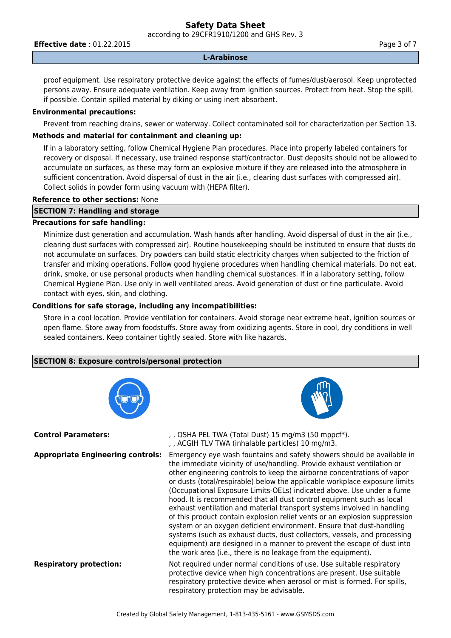according to 29CFR1910/1200 and GHS Rev. 3

**Effective date** : 01.22.2015 **Page 3 of 7 Page 3 of 7** 

### **L-Arabinose**

proof equipment. Use respiratory protective device against the effects of fumes/dust/aerosol. Keep unprotected persons away. Ensure adequate ventilation. Keep away from ignition sources. Protect from heat. Stop the spill, if possible. Contain spilled material by diking or using inert absorbent.

## **Environmental precautions:**

Prevent from reaching drains, sewer or waterway. Collect contaminated soil for characterization per Section 13.

## **Methods and material for containment and cleaning up:**

If in a laboratory setting, follow Chemical Hygiene Plan procedures. Place into properly labeled containers for recovery or disposal. If necessary, use trained response staff/contractor. Dust deposits should not be allowed to accumulate on surfaces, as these may form an explosive mixture if they are released into the atmosphere in sufficient concentration. Avoid dispersal of dust in the air (i.e., clearing dust surfaces with compressed air). Collect solids in powder form using vacuum with (HEPA filter).

## **Reference to other sections:** None

## **SECTION 7: Handling and storage**

## **Precautions for safe handling:**

Minimize dust generation and accumulation. Wash hands after handling. Avoid dispersal of dust in the air (i.e., clearing dust surfaces with compressed air). Routine housekeeping should be instituted to ensure that dusts do not accumulate on surfaces. Dry powders can build static electricity charges when subjected to the friction of transfer and mixing operations. Follow good hygiene procedures when handling chemical materials. Do not eat, drink, smoke, or use personal products when handling chemical substances. If in a laboratory setting, follow Chemical Hygiene Plan. Use only in well ventilated areas. Avoid generation of dust or fine particulate. Avoid contact with eyes, skin, and clothing.

## **Conditions for safe storage, including any incompatibilities:**

Store in a cool location. Provide ventilation for containers. Avoid storage near extreme heat, ignition sources or open flame. Store away from foodstuffs. Store away from oxidizing agents. Store in cool, dry conditions in well sealed containers. Keep container tightly sealed. Store with like hazards.

## **SECTION 8: Exposure controls/personal protection**

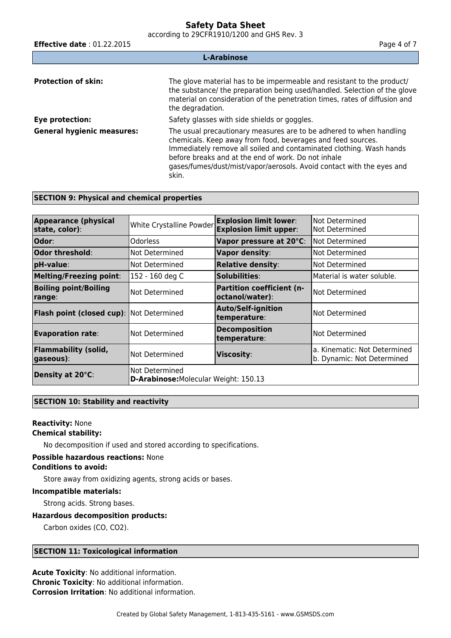according to 29CFR1910/1200 and GHS Rev. 3

**Effective date** : 01.22.2015 **Page 4 of 7 Page 4 of 7 L-Arabinose Protection of skin:** The glove material has to be impermeable and resistant to the product/ the substance/ the preparation being used/handled. Selection of the glove material on consideration of the penetration times, rates of diffusion and the degradation. **Eye protection:** Safety glasses with side shields or goggles. **General hygienic measures:** The usual precautionary measures are to be adhered to when handling chemicals. Keep away from food, beverages and feed sources. Immediately remove all soiled and contaminated clothing. Wash hands before breaks and at the end of work. Do not inhale gases/fumes/dust/mist/vapor/aerosols. Avoid contact with the eyes and skin.

## **SECTION 9: Physical and chemical properties**

| <b>Appearance (physical</b><br>state, color):                                      | White Crystalline Powder | <b>Explosion limit lower:</b><br><b>Explosion limit upper:</b> | Not Determined<br>Not Determined                           |
|------------------------------------------------------------------------------------|--------------------------|----------------------------------------------------------------|------------------------------------------------------------|
|                                                                                    |                          |                                                                |                                                            |
| <b>Odor:</b>                                                                       | <b>Odorless</b>          | Vapor pressure at 20°C:                                        | Not Determined                                             |
| Odor threshold:                                                                    | Not Determined           | <b>Vapor density:</b>                                          | Not Determined                                             |
| pH-value:                                                                          | Not Determined           | <b>Relative density:</b>                                       | Not Determined                                             |
| <b>Melting/Freezing point:</b>                                                     | 152 - 160 deg C          | Solubilities:                                                  | Material is water soluble.                                 |
| <b>Boiling point/Boiling</b><br>range:                                             | Not Determined           | <b>Partition coefficient (n-</b><br>octanol/water):            | Not Determined                                             |
| Flash point (closed cup): Not Determined                                           |                          | <b>Auto/Self-ignition</b><br>temperature:                      | Not Determined                                             |
| <b>Evaporation rate:</b>                                                           | Not Determined           | <b>Decomposition</b><br>temperature:                           | Not Determined                                             |
| <b>Flammability (solid,</b><br> gaseous):                                          | Not Determined           | <b>Viscosity:</b>                                              | a. Kinematic: Not Determined<br>b. Dynamic: Not Determined |
| Not Determined<br>Density at 20°C:<br><b>D-Arabinose: Molecular Weight: 150.13</b> |                          |                                                                |                                                            |

## **SECTION 10: Stability and reactivity**

## **Reactivity:** None **Chemical stability:**

No decomposition if used and stored according to specifications.

#### **Possible hazardous reactions:** None

## **Conditions to avoid:**

Store away from oxidizing agents, strong acids or bases.

#### **Incompatible materials:**

Strong acids. Strong bases.

## **Hazardous decomposition products:**

Carbon oxides (CO, CO2).

## **SECTION 11: Toxicological information**

**Acute Toxicity**: No additional information. **Chronic Toxicity**: No additional information. **Corrosion Irritation**: No additional information.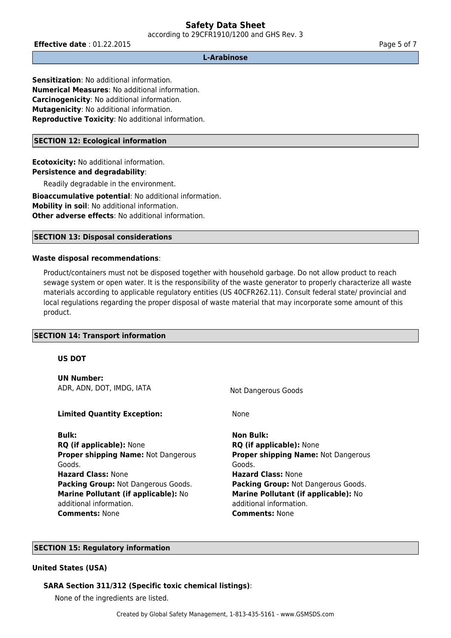according to 29CFR1910/1200 and GHS Rev. 3

**Effective date** : 01.22.2015 **Page 5 of 7 Page 5 of 7** 

#### **L-Arabinose**

**Sensitization**: No additional information. **Numerical Measures**: No additional information. **Carcinogenicity**: No additional information. **Mutagenicity**: No additional information. **Reproductive Toxicity**: No additional information.

### **SECTION 12: Ecological information**

**Ecotoxicity:** No additional information. **Persistence and degradability**:

Readily degradable in the environment.

**Bioaccumulative potential**: No additional information. **Mobility in soil**: No additional information. **Other adverse effects: No additional information.** 

## **SECTION 13: Disposal considerations**

## **Waste disposal recommendations**:

Product/containers must not be disposed together with household garbage. Do not allow product to reach sewage system or open water. It is the responsibility of the waste generator to properly characterize all waste materials according to applicable regulatory entities (US 40CFR262.11). Consult federal state/ provincial and local regulations regarding the proper disposal of waste material that may incorporate some amount of this product.

#### **SECTION 14: Transport information**

#### **US DOT**

**UN Number:** ADR, ADN, DOT, IMDG, IATA Not Dangerous Goods

#### **Limited Quantity Exception:** None

**Bulk: Non Bulk: RQ (if applicable):** None **RQ (if applicable):** None **Proper shipping Name:** Not Dangerous Goods. **Hazard Class:** None **Hazard Class:** None **Packing Group:** Not Dangerous Goods. **Packing Group:** Not Dangerous Goods. **Marine Pollutant (if applicable):** No additional information. **Comments:** None **Comments:** None

**Proper shipping Name:** Not Dangerous Goods. **Marine Pollutant (if applicable):** No additional information.

## **SECTION 15: Regulatory information**

#### **United States (USA)**

#### **SARA Section 311/312 (Specific toxic chemical listings)**:

None of the ingredients are listed.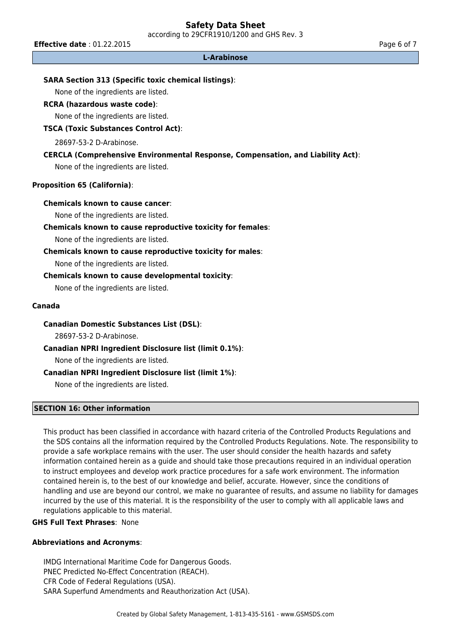according to 29CFR1910/1200 and GHS Rev. 3

**Effective date** : 01.22.2015 **Page 6 of 7 Page 6 of 7** 

#### **L-Arabinose**

### **SARA Section 313 (Specific toxic chemical listings)**:

None of the ingredients are listed.

## **RCRA (hazardous waste code)**:

None of the ingredients are listed.

## **TSCA (Toxic Substances Control Act)**:

28697-53-2 D-Arabinose.

## **CERCLA (Comprehensive Environmental Response, Compensation, and Liability Act)**:

None of the ingredients are listed.

## **Proposition 65 (California)**:

#### **Chemicals known to cause cancer**:

None of the ingredients are listed.

#### **Chemicals known to cause reproductive toxicity for females**:

None of the ingredients are listed.

## **Chemicals known to cause reproductive toxicity for males**:

None of the ingredients are listed.

## **Chemicals known to cause developmental toxicity**:

None of the ingredients are listed.

#### **Canada**

#### **Canadian Domestic Substances List (DSL)**:

28697-53-2 D-Arabinose.

## **Canadian NPRI Ingredient Disclosure list (limit 0.1%)**:

None of the ingredients are listed.

## **Canadian NPRI Ingredient Disclosure list (limit 1%)**:

None of the ingredients are listed.

#### **SECTION 16: Other information**

This product has been classified in accordance with hazard criteria of the Controlled Products Regulations and the SDS contains all the information required by the Controlled Products Regulations. Note. The responsibility to provide a safe workplace remains with the user. The user should consider the health hazards and safety information contained herein as a guide and should take those precautions required in an individual operation to instruct employees and develop work practice procedures for a safe work environment. The information contained herein is, to the best of our knowledge and belief, accurate. However, since the conditions of handling and use are beyond our control, we make no guarantee of results, and assume no liability for damages incurred by the use of this material. It is the responsibility of the user to comply with all applicable laws and regulations applicable to this material.

## **GHS Full Text Phrases**: None

#### **Abbreviations and Acronyms**:

IMDG International Maritime Code for Dangerous Goods. PNEC Predicted No-Effect Concentration (REACH). CFR Code of Federal Regulations (USA). SARA Superfund Amendments and Reauthorization Act (USA).